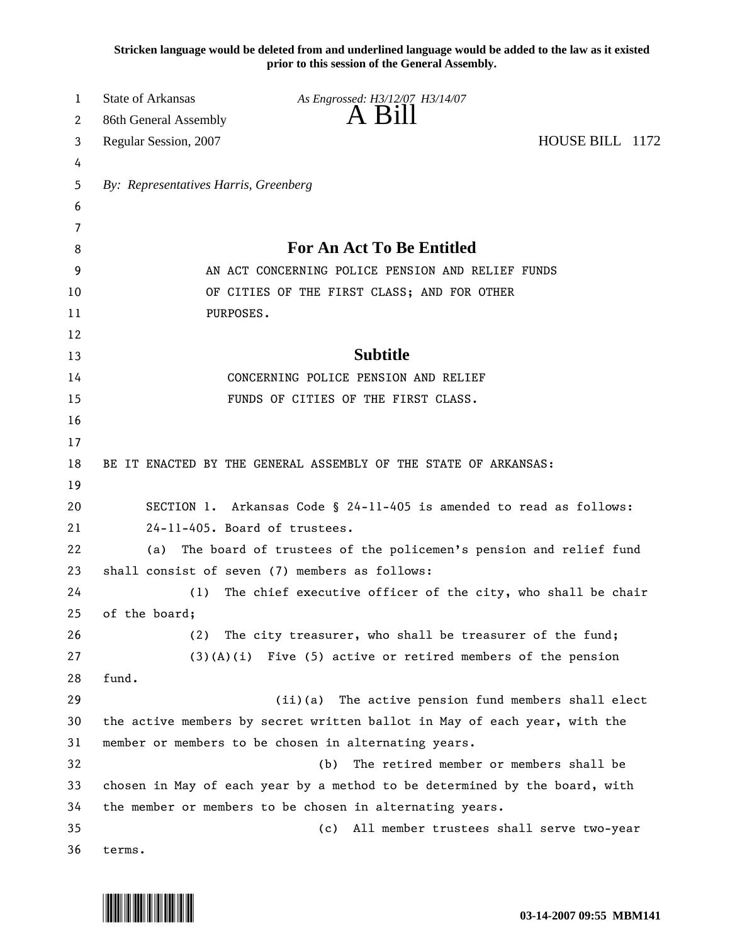**Stricken language would be deleted from and underlined language would be added to the law as it existed prior to this session of the General Assembly.**

| 1        | <b>State of Arkansas</b>                                                                                                          | As Engrossed: H3/12/07 H3/14/07                                  |                                             |  |  |
|----------|-----------------------------------------------------------------------------------------------------------------------------------|------------------------------------------------------------------|---------------------------------------------|--|--|
| 2        | 86th General Assembly                                                                                                             | A Bill                                                           |                                             |  |  |
| 3        | Regular Session, 2007                                                                                                             |                                                                  | HOUSE BILL 1172                             |  |  |
| 4        |                                                                                                                                   |                                                                  |                                             |  |  |
| 5        |                                                                                                                                   | By: Representatives Harris, Greenberg                            |                                             |  |  |
| 6        |                                                                                                                                   |                                                                  |                                             |  |  |
| 7        |                                                                                                                                   |                                                                  |                                             |  |  |
| 8        |                                                                                                                                   | <b>For An Act To Be Entitled</b>                                 |                                             |  |  |
| 9        |                                                                                                                                   | AN ACT CONCERNING POLICE PENSION AND RELIEF FUNDS                |                                             |  |  |
| 10       |                                                                                                                                   | OF CITIES OF THE FIRST CLASS; AND FOR OTHER                      |                                             |  |  |
| 11       | PURPOSES.                                                                                                                         |                                                                  |                                             |  |  |
| 12       |                                                                                                                                   |                                                                  |                                             |  |  |
| 13       |                                                                                                                                   | <b>Subtitle</b>                                                  |                                             |  |  |
| 14       |                                                                                                                                   | CONCERNING POLICE PENSION AND RELIEF                             |                                             |  |  |
| 15       |                                                                                                                                   | FUNDS OF CITIES OF THE FIRST CLASS.                              |                                             |  |  |
| 16       |                                                                                                                                   |                                                                  |                                             |  |  |
| 17       |                                                                                                                                   |                                                                  |                                             |  |  |
| 18       |                                                                                                                                   | BE IT ENACTED BY THE GENERAL ASSEMBLY OF THE STATE OF ARKANSAS:  |                                             |  |  |
| 19       |                                                                                                                                   |                                                                  |                                             |  |  |
| 20       | SECTION 1. Arkansas Code § 24-11-405 is amended to read as follows:                                                               |                                                                  |                                             |  |  |
| 21       | 24-11-405. Board of trustees.                                                                                                     |                                                                  |                                             |  |  |
| 22       | (a)                                                                                                                               | The board of trustees of the policemen's pension and relief fund |                                             |  |  |
| 23       | shall consist of seven (7) members as follows:                                                                                    |                                                                  |                                             |  |  |
| 24       | (1)                                                                                                                               | The chief executive officer of the city, who shall be chair      |                                             |  |  |
| 25       | of the board;                                                                                                                     |                                                                  |                                             |  |  |
| 26       | (2)                                                                                                                               | The city treasurer, who shall be treasurer of the fund;          |                                             |  |  |
| 27       |                                                                                                                                   | $(3)(A)(i)$ Five (5) active or retired members of the pension    |                                             |  |  |
| 28       | fund.                                                                                                                             |                                                                  |                                             |  |  |
| 29       |                                                                                                                                   | (ii)(a)                                                          | The active pension fund members shall elect |  |  |
| 30       | the active members by secret written ballot in May of each year, with the<br>member or members to be chosen in alternating years. |                                                                  |                                             |  |  |
| 31<br>32 |                                                                                                                                   |                                                                  |                                             |  |  |
| 33       | The retired member or members shall be<br>(b)                                                                                     |                                                                  |                                             |  |  |
| 34       | chosen in May of each year by a method to be determined by the board, with                                                        |                                                                  |                                             |  |  |
| 35       | the member or members to be chosen in alternating years.<br>All member trustees shall serve two-year<br>(c)                       |                                                                  |                                             |  |  |
| 36       | terms.                                                                                                                            |                                                                  |                                             |  |  |
|          |                                                                                                                                   |                                                                  |                                             |  |  |

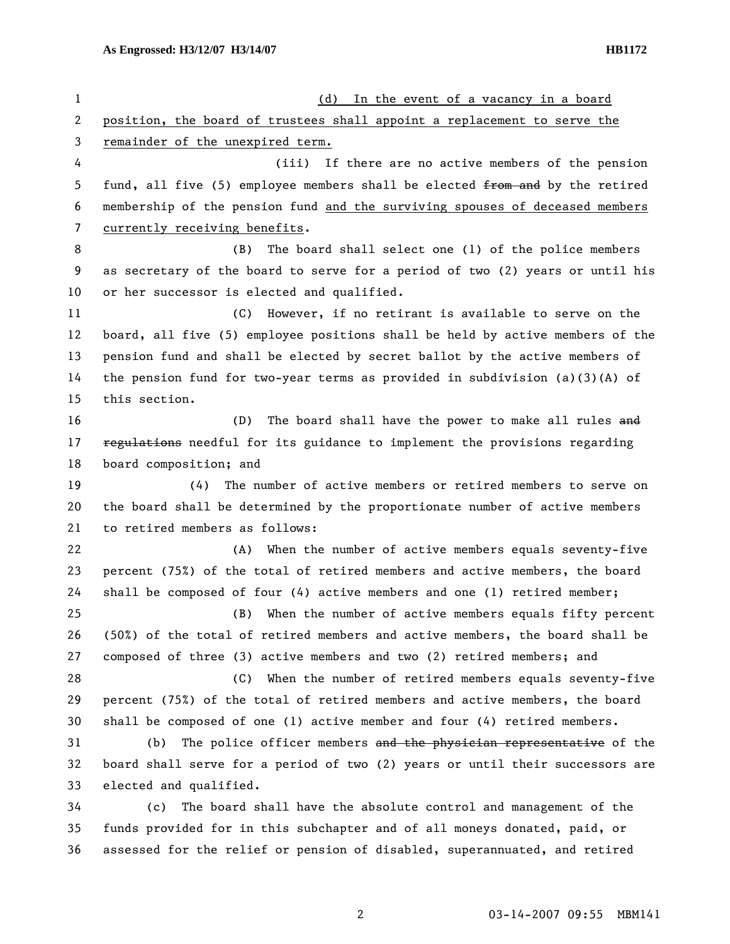| 1  | In the event of a vacancy in a board<br>(d)                                   |  |  |
|----|-------------------------------------------------------------------------------|--|--|
| 2  | position, the board of trustees shall appoint a replacement to serve the      |  |  |
| 3  | remainder of the unexpired term.                                              |  |  |
| 4  | (iii) If there are no active members of the pension                           |  |  |
| 5  | fund, all five (5) employee members shall be elected from and by the retired  |  |  |
| 6  | membership of the pension fund and the surviving spouses of deceased members  |  |  |
| 7  | currently receiving benefits.                                                 |  |  |
| 8  | The board shall select one (1) of the police members<br>(B)                   |  |  |
| 9  | as secretary of the board to serve for a period of two (2) years or until his |  |  |
| 10 | or her successor is elected and qualified.                                    |  |  |
| 11 | (C) However, if no retirant is available to serve on the                      |  |  |
| 12 | board, all five (5) employee positions shall be held by active members of the |  |  |
| 13 | pension fund and shall be elected by secret ballot by the active members of   |  |  |
| 14 | the pension fund for two-year terms as provided in subdivision $(a)(3)(A)$ of |  |  |
| 15 | this section.                                                                 |  |  |
| 16 | The board shall have the power to make all rules and<br>(D)                   |  |  |
| 17 | regulations needful for its guidance to implement the provisions regarding    |  |  |
| 18 | board composition; and                                                        |  |  |
| 19 | The number of active members or retired members to serve on<br>(4)            |  |  |
| 20 | the board shall be determined by the proportionate number of active members   |  |  |
| 21 | to retired members as follows:                                                |  |  |
| 22 | (A) When the number of active members equals seventy-five                     |  |  |
| 23 | percent (75%) of the total of retired members and active members, the board   |  |  |
| 24 | shall be composed of four $(4)$ active members and one (1) retired member;    |  |  |
| 25 | (B) When the number of active members equals fifty percent                    |  |  |
| 26 | (50%) of the total of retired members and active members, the board shall be  |  |  |
| 27 | composed of three (3) active members and two (2) retired members; and         |  |  |
| 28 | (C) When the number of retired members equals seventy-five                    |  |  |
| 29 | percent (75%) of the total of retired members and active members, the board   |  |  |
| 30 | shall be composed of one (1) active member and four $(4)$ retired members.    |  |  |
| 31 | The police officer members and the physician representative of the<br>(b)     |  |  |
| 32 | board shall serve for a period of two (2) years or until their successors are |  |  |
| 33 | elected and qualified.                                                        |  |  |
| 34 | The board shall have the absolute control and management of the<br>(c)        |  |  |
| 35 | funds provided for in this subchapter and of all moneys donated, paid, or     |  |  |
| 36 | assessed for the relief or pension of disabled, superannuated, and retired    |  |  |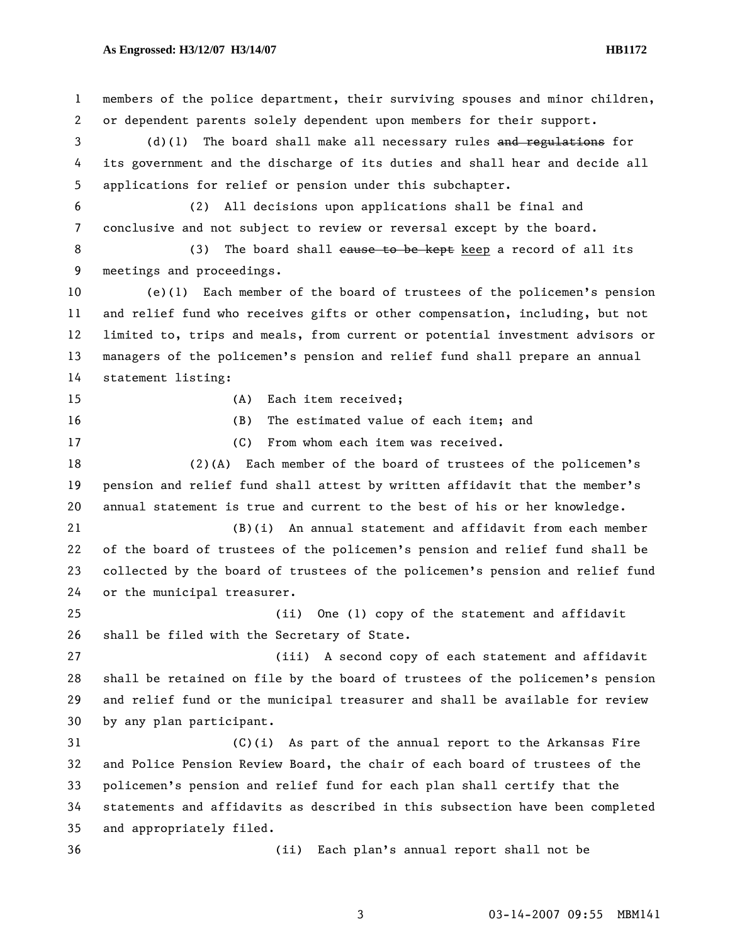## **As Engrossed: H3/12/07 H3/14/07 HB1172**

1 members of the police department, their surviving spouses and minor children, 2 or dependent parents solely dependent upon members for their support. 3 (d)(1) The board shall make all necessary rules and regulations for 4 its government and the discharge of its duties and shall hear and decide all 5 applications for relief or pension under this subchapter. 6 (2) All decisions upon applications shall be final and 7 conclusive and not subject to review or reversal except by the board. 8 (3) The board shall cause to be kept keep a record of all its 9 meetings and proceedings. 10 (e)(1) Each member of the board of trustees of the policemen's pension 11 and relief fund who receives gifts or other compensation, including, but not 12 limited to, trips and meals, from current or potential investment advisors or 13 managers of the policemen's pension and relief fund shall prepare an annual 14 statement listing: 15 (A) Each item received; 16 (B) The estimated value of each item; and 17 (C) From whom each item was received. 18 (2)(A) Each member of the board of trustees of the policemen's 19 pension and relief fund shall attest by written affidavit that the member's 20 annual statement is true and current to the best of his or her knowledge. 21 (B)(i) An annual statement and affidavit from each member 22 of the board of trustees of the policemen's pension and relief fund shall be 23 collected by the board of trustees of the policemen's pension and relief fund 24 or the municipal treasurer. 25 (ii) One (1) copy of the statement and affidavit 26 shall be filed with the Secretary of State. 27 (iii) A second copy of each statement and affidavit 28 shall be retained on file by the board of trustees of the policemen's pension 29 and relief fund or the municipal treasurer and shall be available for review 30 by any plan participant. 31 (C)(i) As part of the annual report to the Arkansas Fire 32 and Police Pension Review Board, the chair of each board of trustees of the 33 policemen's pension and relief fund for each plan shall certify that the 34 statements and affidavits as described in this subsection have been completed 35 and appropriately filed. 36 (ii) Each plan's annual report shall not be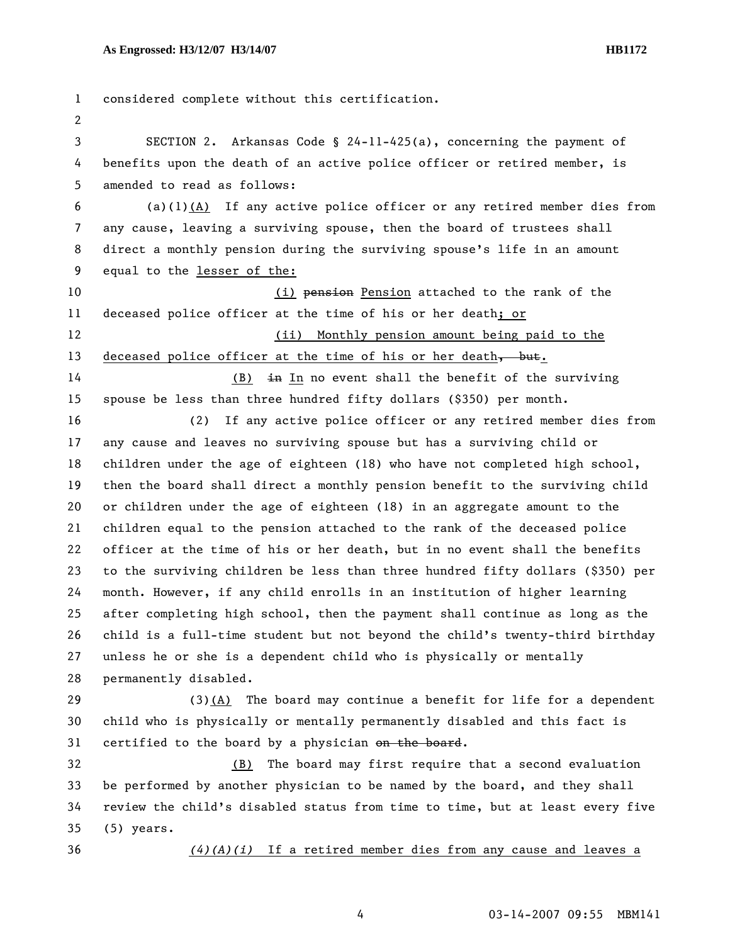1 considered complete without this certification. 2 3 SECTION 2. Arkansas Code § 24-11-425(a), concerning the payment of 4 benefits upon the death of an active police officer or retired member, is 5 amended to read as follows: 6 (a)(1)(A) If any active police officer or any retired member dies from 7 any cause, leaving a surviving spouse, then the board of trustees shall 8 direct a monthly pension during the surviving spouse's life in an amount 9 equal to the lesser of the: 10 (i) pension Pension attached to the rank of the 11 deceased police officer at the time of his or her death; or 12 (ii) Monthly pension amount being paid to the 13 deceased police officer at the time of his or her death, but. 14 (B) in In no event shall the benefit of the surviving 15 spouse be less than three hundred fifty dollars (\$350) per month. 16 (2) If any active police officer or any retired member dies from 17 any cause and leaves no surviving spouse but has a surviving child or 18 children under the age of eighteen (18) who have not completed high school, 19 then the board shall direct a monthly pension benefit to the surviving child 20 or children under the age of eighteen (18) in an aggregate amount to the 21 children equal to the pension attached to the rank of the deceased police 22 officer at the time of his or her death, but in no event shall the benefits 23 to the surviving children be less than three hundred fifty dollars (\$350) per 24 month. However, if any child enrolls in an institution of higher learning 25 after completing high school, then the payment shall continue as long as the 26 child is a full-time student but not beyond the child's twenty-third birthday 27 unless he or she is a dependent child who is physically or mentally 28 permanently disabled. 29 (3)(A) The board may continue a benefit for life for a dependent 30 child who is physically or mentally permanently disabled and this fact is 31 certified to the board by a physician on the board. 32 (B) The board may first require that a second evaluation 33 be performed by another physician to be named by the board, and they shall 34 review the child's disabled status from time to time, but at least every five 35 (5) years. 36 *(4)(A)(i)* If a retired member dies from any cause and leaves a

4 03-14-2007 09:55 MBM141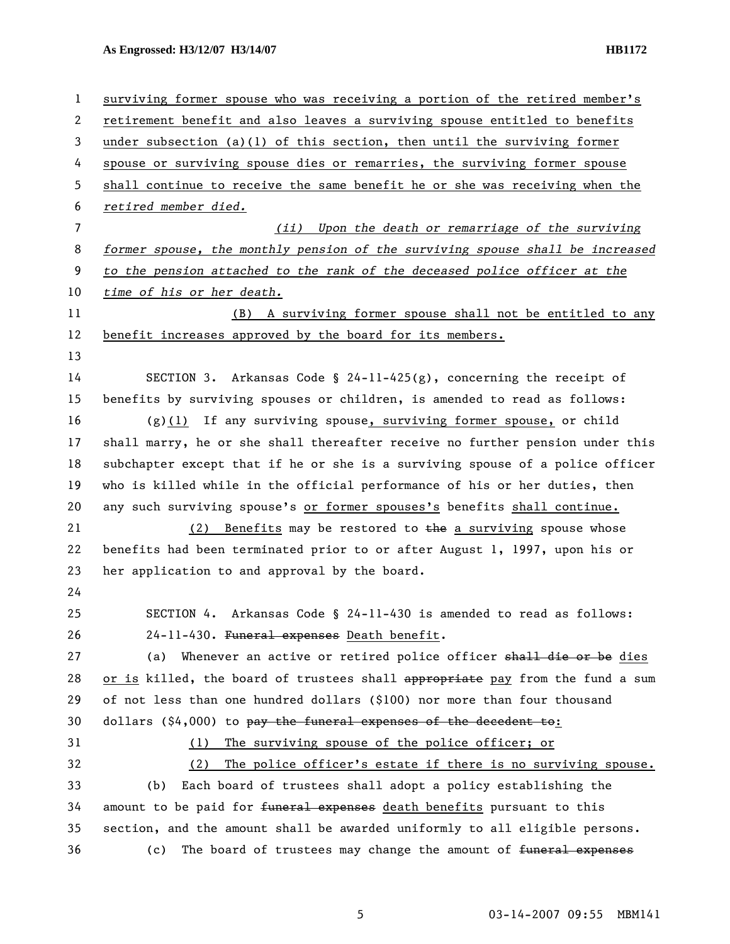**As Engrossed: H3/12/07 H3/14/07 HB1172** 

| $\mathbf{1}$   | surviving former spouse who was receiving a portion of the retired member's   |  |  |
|----------------|-------------------------------------------------------------------------------|--|--|
| 2              | retirement benefit and also leaves a surviving spouse entitled to benefits    |  |  |
| 3              | under subsection (a)(1) of this section, then until the surviving former      |  |  |
| 4              | spouse or surviving spouse dies or remarries, the surviving former spouse     |  |  |
| 5              | shall continue to receive the same benefit he or she was receiving when the   |  |  |
| 6              | retired member died.                                                          |  |  |
| $\overline{7}$ | (ii) Upon the death or remarriage of the surviving                            |  |  |
| 8              | former spouse, the monthly pension of the surviving spouse shall be increased |  |  |
| 9              | to the pension attached to the rank of the deceased police officer at the     |  |  |
| 10             | time of his or her death.                                                     |  |  |
| 11             | (B) A surviving former spouse shall not be entitled to any                    |  |  |
| 12             | benefit increases approved by the board for its members.                      |  |  |
| 13             |                                                                               |  |  |
| 14             | SECTION 3. Arkansas Code § 24-11-425(g), concerning the receipt of            |  |  |
| 15             | benefits by surviving spouses or children, is amended to read as follows:     |  |  |
| 16             | $(g)(1)$ If any surviving spouse, surviving former spouse, or child           |  |  |
| 17             | shall marry, he or she shall thereafter receive no further pension under this |  |  |
| 18             | subchapter except that if he or she is a surviving spouse of a police officer |  |  |
| 19             | who is killed while in the official performance of his or her duties, then    |  |  |
| 20             | any such surviving spouse's or former spouses's benefits shall continue.      |  |  |
| 21             | (2) Benefits may be restored to the a surviving spouse whose                  |  |  |
| 22             | benefits had been terminated prior to or after August 1, 1997, upon his or    |  |  |
| 23             | her application to and approval by the board.                                 |  |  |
| 24             |                                                                               |  |  |
| 25             | SECTION 4. Arkansas Code § 24-11-430 is amended to read as follows:           |  |  |
| 26             | 24-11-430. Funeral expenses Death benefit.                                    |  |  |
| 27             | Whenever an active or retired police officer shall die or be dies<br>(a)      |  |  |
| 28             | or is killed, the board of trustees shall appropriate pay from the fund a sum |  |  |
| 29             | of not less than one hundred dollars (\$100) nor more than four thousand      |  |  |
| 30             | dollars (\$4,000) to pay the funeral expenses of the decedent to:             |  |  |
| 31             | The surviving spouse of the police officer; or<br>(1)                         |  |  |
| 32             | The police officer's estate if there is no surviving spouse.<br>(2)           |  |  |
| 33             | Each board of trustees shall adopt a policy establishing the<br>(b)           |  |  |
| 34             | amount to be paid for funeral expenses death benefits pursuant to this        |  |  |
| 35             | section, and the amount shall be awarded uniformly to all eligible persons.   |  |  |
| 36             | The board of trustees may change the amount of funeral expenses<br>(c)        |  |  |